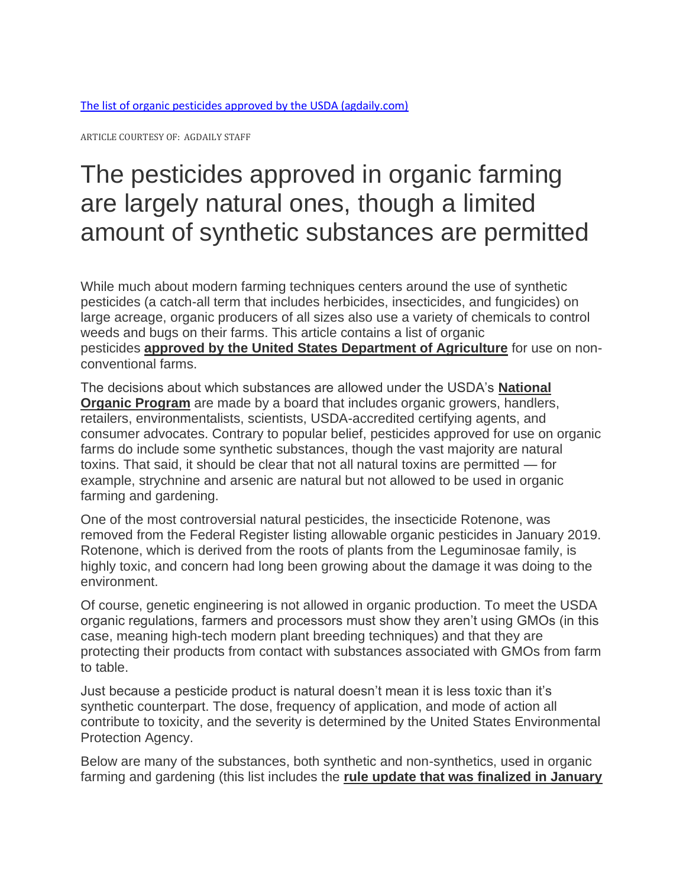ARTICLE COURTESY OF: AGDAILY STAFF

# The pesticides approved in organic farming are largely natural ones, though a limited amount of synthetic substances are permitted

While much about modern farming techniques centers around the use of synthetic pesticides (a catch-all term that includes herbicides, insecticides, and fungicides) on large acreage, organic producers of all sizes also use a variety of chemicals to control weeds and bugs on their farms. This article contains a list of organic pesticides **[approved by the United States Department of Agriculture](https://www.ecfr.gov/cgi-bin/text-idx?c=ecfr&SID=9874504b6f1025eb0e6b67cadf9d3b40&rgn=div6&view=text&node=7:3.1.1.9.32.7&idno=7)** for use on nonconventional farms.

The decisions about which substances are allowed under the USDA's **[National](http://www.ams.usda.gov/NOPNationalOrganicProgramHome)  [Organic Program](http://www.ams.usda.gov/NOPNationalOrganicProgramHome)** are made by a board that includes organic growers, handlers, retailers, environmentalists, scientists, USDA-accredited certifying agents, and consumer advocates. Contrary to popular belief, pesticides approved for use on organic farms do include some synthetic substances, though the vast majority are natural toxins. That said, it should be clear that not all natural toxins are permitted — for example, strychnine and arsenic are natural but not allowed to be used in organic farming and gardening.

One of the most controversial natural pesticides, the insecticide Rotenone, was removed from the Federal Register listing allowable organic pesticides in January 2019. Rotenone, which is derived from the roots of plants from the Leguminosae family, is highly toxic, and concern had long been growing about the damage it was doing to the environment.

Of course, genetic engineering is not allowed in organic production. To meet the USDA organic regulations, farmers and processors must show they aren't using GMOs (in this case, meaning high-tech modern plant breeding techniques) and that they are protecting their products from contact with substances associated with GMOs from farm to table.

Just because a pesticide product is natural doesn't mean it is less toxic than it's synthetic counterpart. The dose, frequency of application, and mode of action all contribute to toxicity, and the severity is determined by the United States Environmental Protection Agency.

Below are many of the substances, both synthetic and non-synthetics, used in organic farming and gardening (this list includes the **[rule update that was finalized in January](https://www.govinfo.gov/content/pkg/FR-2018-12-27/pdf/2018-27792.pdf)**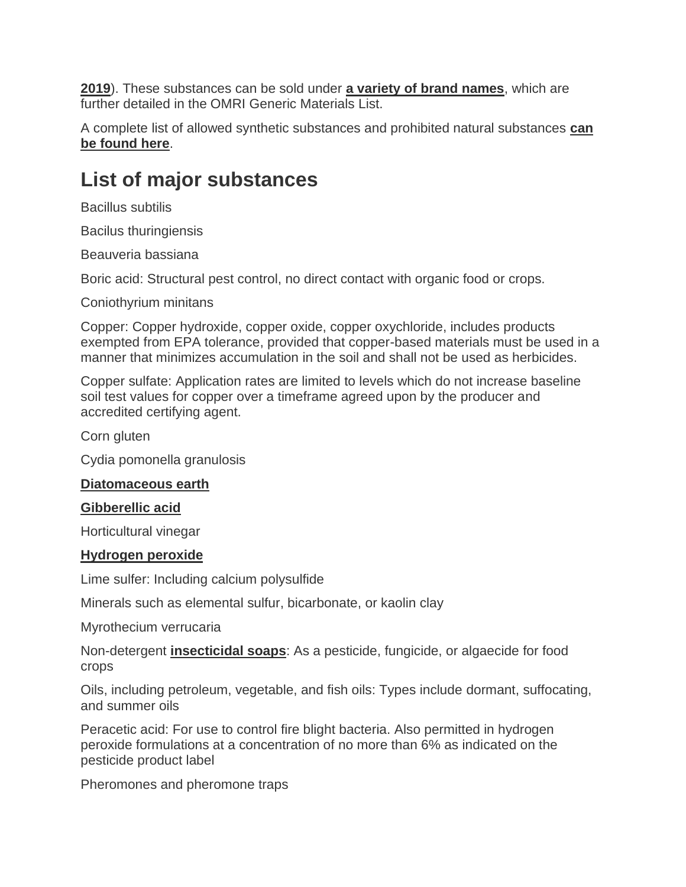**[2019](https://www.govinfo.gov/content/pkg/FR-2018-12-27/pdf/2018-27792.pdf)**). These substances can be sold under **[a variety of brand names](https://www.omri.org/purchase-generic-materials-list)**, which are further detailed in the OMRI Generic Materials List.

A complete list of allowed synthetic substances and prohibited natural substances **[can](https://www.ecfr.gov/cgi-bin/text-idx?c=ecfr&SID=9874504b6f1025eb0e6b67cadf9d3b40&rgn=div6&view=text&node=7:3.1.1.9.32.7&idno=7#sg7.3.205.g.sg0)  [be found here](https://www.ecfr.gov/cgi-bin/text-idx?c=ecfr&SID=9874504b6f1025eb0e6b67cadf9d3b40&rgn=div6&view=text&node=7:3.1.1.9.32.7&idno=7#sg7.3.205.g.sg0)**.

## **List of major substances**

Bacillus subtilis

Bacilus thuringiensis

Beauveria bassiana

Boric acid: Structural pest control, no direct contact with organic food or crops.

Coniothyrium minitans

Copper: Copper hydroxide, copper oxide, copper oxychloride, includes products exempted from EPA tolerance, provided that copper-based materials must be used in a manner that minimizes accumulation in the soil and shall not be used as herbicides.

Copper sulfate: Application rates are limited to levels which do not increase baseline soil test values for copper over a timeframe agreed upon by the producer and accredited certifying agent.

Corn gluten

Cydia pomonella granulosis

### **[Diatomaceous earth](https://www.amazon.com/gp/product/B01D60GAW2/ref=as_li_qf_asin_il_tl?ie=UTF8&tag=vs-agdaily-organic-pesticide-20&creative=9325&linkCode=as2&creativeASIN=B01D60GAW2&linkId=a3b848d10287cf8c811600333b60c99f)**

### **[Gibberellic acid](https://www.amazon.com/gp/product/B07NC7KDHN/ref=as_li_qf_asin_il_tl?ie=UTF8&tag=vs-agdaily-organic-pesticide-20&creative=9325&linkCode=as2&creativeASIN=B07NC7KDHN&linkId=1f1a649b3dbdc601ea976900014eeeba)**

Horticultural vinegar

#### **[Hydrogen peroxide](https://www.amazon.com/gp/product/B086PHBHBF/ref=as_li_qf_asin_il_tl?ie=UTF8&tag=vs-agdaily-organic-pesticide-20&creative=9325&linkCode=as2&creativeASIN=B086PHBHBF&linkId=d858ad6237a111a85d2e64b6271bbdbd)**

Lime sulfer: Including calcium polysulfide

Minerals such as elemental sulfur, bicarbonate, or kaolin clay

Myrothecium verrucaria

Non-detergent **[insecticidal soaps](https://www.amazon.com/gp/product/B000BQL8UY/ref=as_li_qf_asin_il_tl?ie=UTF8&tag=vs-agdaily-organic-pesticide-20&creative=9325&linkCode=as2&creativeASIN=B000BQL8UY&linkId=afdf8bd308fdd7b872afa7438676e86f)**: As a pesticide, fungicide, or algaecide for food crops

Oils, including petroleum, vegetable, and fish oils: Types include dormant, suffocating, and summer oils

Peracetic acid: For use to control fire blight bacteria. Also permitted in hydrogen peroxide formulations at a concentration of no more than 6% as indicated on the pesticide product label

Pheromones and pheromone traps